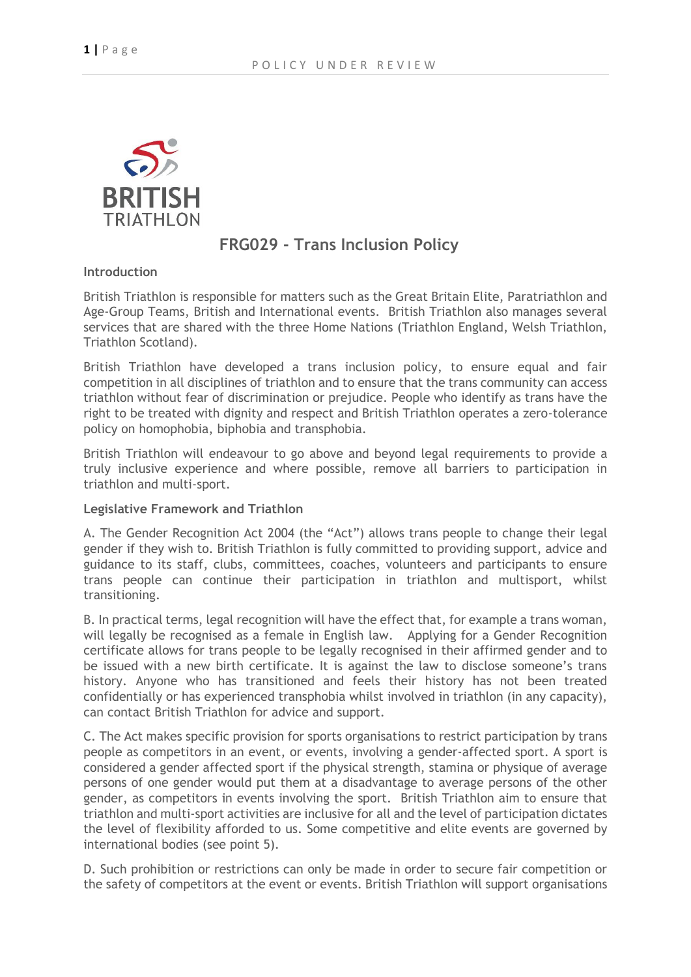

## **FRG029 - Trans Inclusion Policy**

**Introduction**

British Triathlon is responsible for matters such as the Great Britain Elite, Paratriathlon and Age-Group Teams, British and International events. British Triathlon also manages several services that are shared with the three Home Nations (Triathlon England, Welsh Triathlon, Triathlon Scotland).

British Triathlon have developed a trans inclusion policy, to ensure equal and fair competition in all disciplines of triathlon and to ensure that the trans community can access triathlon without fear of discrimination or prejudice. People who identify as trans have the right to be treated with dignity and respect and British Triathlon operates a zero-tolerance policy on homophobia, biphobia and transphobia.

British Triathlon will endeavour to go above and beyond legal requirements to provide a truly inclusive experience and where possible, remove all barriers to participation in triathlon and multi-sport.

#### **Legislative Framework and Triathlon**

A. The Gender Recognition Act 2004 (the "Act") allows trans people to change their legal gender if they wish to. British Triathlon is fully committed to providing support, advice and guidance to its staff, clubs, committees, coaches, volunteers and participants to ensure trans people can continue their participation in triathlon and multisport, whilst transitioning.

B. In practical terms, legal recognition will have the effect that, for example a trans woman, will legally be recognised as a female in English law. Applying for a Gender Recognition certificate allows for trans people to be legally recognised in their affirmed gender and to be issued with a new birth certificate. It is against the law to disclose someone's trans history. Anyone who has transitioned and feels their history has not been treated confidentially or has experienced transphobia whilst involved in triathlon (in any capacity), can contact British Triathlon for advice and support.

C. The Act makes specific provision for sports organisations to restrict participation by trans people as competitors in an event, or events, involving a gender-affected sport. A sport is considered a gender affected sport if the physical strength, stamina or physique of average persons of one gender would put them at a disadvantage to average persons of the other gender, as competitors in events involving the sport. British Triathlon aim to ensure that triathlon and multi-sport activities are inclusive for all and the level of participation dictates the level of flexibility afforded to us. Some competitive and elite events are governed by international bodies (see point 5).

D. Such prohibition or restrictions can only be made in order to secure fair competition or the safety of competitors at the event or events. British Triathlon will support organisations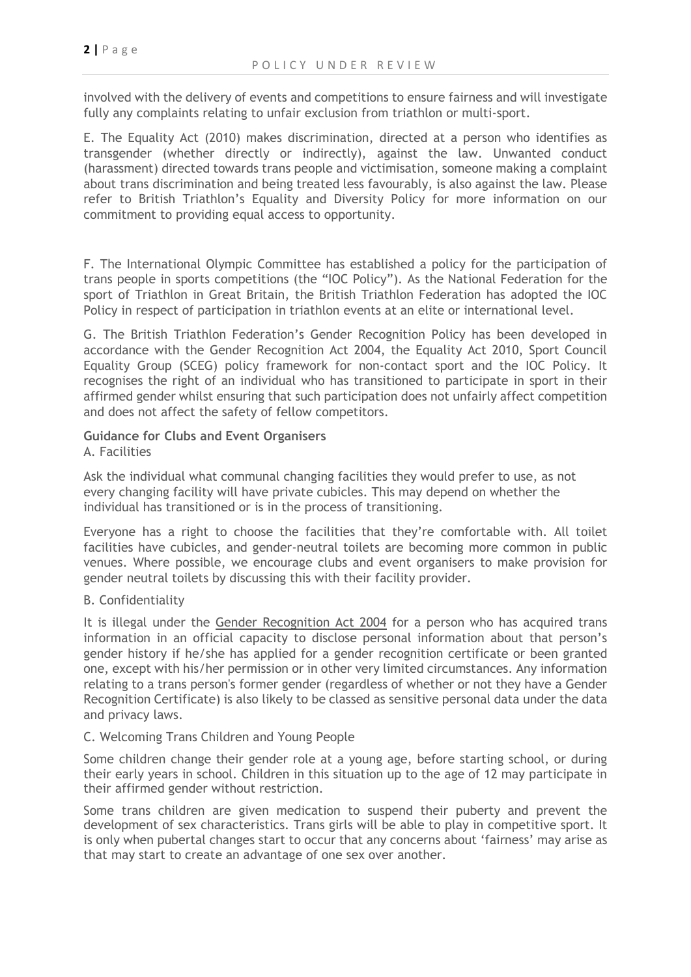involved with the delivery of events and competitions to ensure fairness and will investigate fully any complaints relating to unfair exclusion from triathlon or multi-sport.

E. The Equality Act (2010) makes discrimination, directed at a person who identifies as transgender (whether directly or indirectly), against the law. Unwanted conduct (harassment) directed towards trans people and victimisation, someone making a complaint about trans discrimination and being treated less favourably, is also against the law. Please refer to British Triathlon's Equality and Diversity Policy for more information on our commitment to providing equal access to opportunity.

F. The International Olympic Committee has established a policy for the participation of trans people in sports competitions (the "IOC Policy"). As the National Federation for the sport of Triathlon in Great Britain, the British Triathlon Federation has adopted the IOC Policy in respect of participation in triathlon events at an elite or international level.

G. The British Triathlon Federation's Gender Recognition Policy has been developed in accordance with the Gender Recognition Act 2004, the Equality Act 2010, Sport Council Equality Group (SCEG) policy framework for non-contact sport and the IOC Policy. It recognises the right of an individual who has transitioned to participate in sport in their affirmed gender whilst ensuring that such participation does not unfairly affect competition and does not affect the safety of fellow competitors.

# **Guidance for Clubs and Event Organisers**

A. Facilities

Ask the individual what communal changing facilities they would prefer to use, as not every changing facility will have private cubicles. This may depend on whether the individual has transitioned or is in the process of transitioning.

Everyone has a right to choose the facilities that they're comfortable with. All toilet facilities have cubicles, and gender-neutral toilets are becoming more common in public venues. Where possible, we encourage clubs and event organisers to make provision for gender neutral toilets by discussing this with their facility provider.

#### B. Confidentiality

It is illegal under the [Gender Recognition Act 2004](https://www.bing.com/search?q=gender+recognition+act&form=PRDLCS&pc=MDDCJS&httpsmsn=1&refig=10617a6fedf84037a8095fa2d052e0cf&pq=gender+recognition+act&sc=8-22&sp=1&qs=AS&sk=) for a person who has acquired trans information in an official capacity to disclose personal information about that person's gender history if he/she has applied for a gender recognition certificate or been granted one, except with his/her permission or in other very limited circumstances. Any information relating to a trans person's former gender (regardless of whether or not they have a Gender Recognition Certificate) is also likely to be classed as sensitive personal data under the data and privacy laws.

#### C. Welcoming Trans Children and Young People

Some children change their gender role at a young age, before starting school, or during their early years in school. Children in this situation up to the age of 12 may participate in their affirmed gender without restriction.

Some trans children are given medication to suspend their puberty and prevent the development of sex characteristics. Trans girls will be able to play in competitive sport. It is only when pubertal changes start to occur that any concerns about 'fairness' may arise as that may start to create an advantage of one sex over another.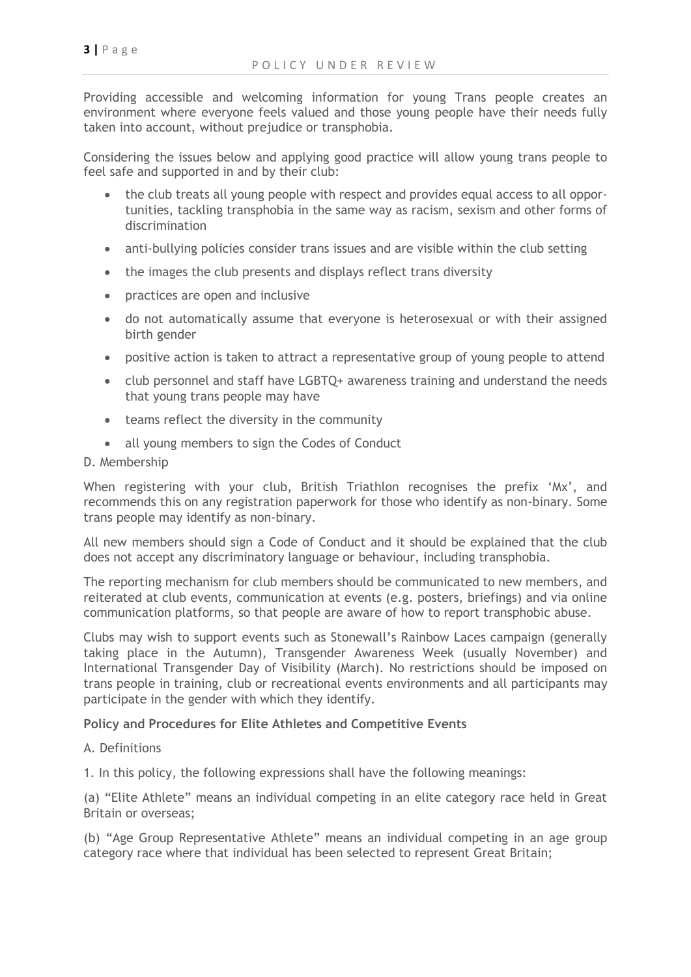Providing accessible and welcoming information for young Trans people creates an environment where everyone feels valued and those young people have their needs fully taken into account, without prejudice or transphobia.

Considering the issues below and applying good practice will allow young trans people to feel safe and supported in and by their club:

- the club treats all young people with respect and provides equal access to all opportunities, tackling transphobia in the same way as racism, sexism and other forms of discrimination
- anti-bullying policies consider trans issues and are visible within the club setting
- the images the club presents and displays reflect trans diversity
- practices are open and inclusive
- do not automatically assume that everyone is heterosexual or with their assigned birth gender
- positive action is taken to attract a representative group of young people to attend
- club personnel and staff have LGBTQ+ awareness training and understand the needs that young trans people may have
- teams reflect the diversity in the community
- all young members to sign the Codes of Conduct

#### D. Membership

When registering with your club, British Triathlon recognises the prefix 'Mx', and recommends this on any registration paperwork for those who identify as non-binary. Some trans people may identify as non-binary.

All new members should sign a Code of Conduct and it should be explained that the club does not accept any discriminatory language or behaviour, including transphobia.

The reporting mechanism for club members should be communicated to new members, and reiterated at club events, communication at events (e.g. posters, briefings) and via online communication platforms, so that people are aware of how to report transphobic abuse.

Clubs may wish to support events such as Stonewall's Rainbow Laces campaign (generally taking place in the Autumn), Transgender Awareness Week (usually November) and International Transgender Day of Visibility (March). No restrictions should be imposed on trans people in training, club or recreational events environments and all participants may participate in the gender with which they identify.

#### **Policy and Procedures for Elite Athletes and Competitive Events**

A. Definitions

1. In this policy, the following expressions shall have the following meanings:

(a) "Elite Athlete" means an individual competing in an elite category race held in Great Britain or overseas;

(b) "Age Group Representative Athlete" means an individual competing in an age group category race where that individual has been selected to represent Great Britain;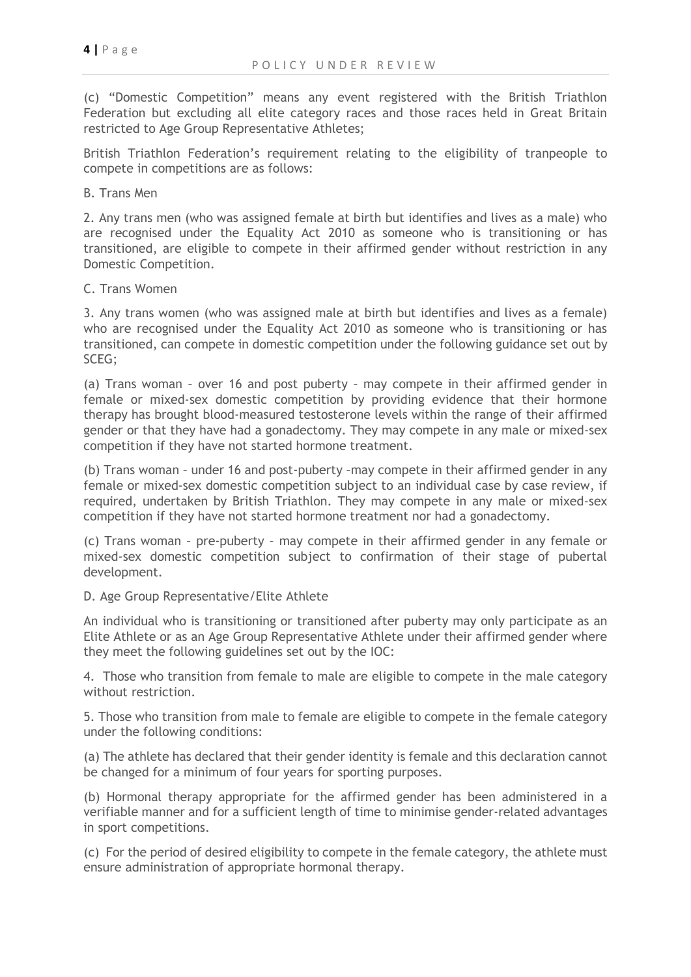(c) "Domestic Competition" means any event registered with the British Triathlon Federation but excluding all elite category races and those races held in Great Britain restricted to Age Group Representative Athletes;

British Triathlon Federation's requirement relating to the eligibility of tranpeople to compete in competitions are as follows:

B. Trans Men

2. Any trans men (who was assigned female at birth but identifies and lives as a male) who are recognised under the Equality Act 2010 as someone who is transitioning or has transitioned, are eligible to compete in their affirmed gender without restriction in any Domestic Competition.

#### C. Trans Women

3. Any trans women (who was assigned male at birth but identifies and lives as a female) who are recognised under the Equality Act 2010 as someone who is transitioning or has transitioned, can compete in domestic competition under the following guidance set out by SCEG;

(a) Trans woman – over 16 and post puberty – may compete in their affirmed gender in female or mixed-sex domestic competition by providing evidence that their hormone therapy has brought blood-measured testosterone levels within the range of their affirmed gender or that they have had a gonadectomy. They may compete in any male or mixed-sex competition if they have not started hormone treatment.

(b) Trans woman – under 16 and post-puberty –may compete in their affirmed gender in any female or mixed-sex domestic competition subject to an individual case by case review, if required, undertaken by British Triathlon. They may compete in any male or mixed-sex competition if they have not started hormone treatment nor had a gonadectomy.

(c) Trans woman – pre-puberty – may compete in their affirmed gender in any female or mixed-sex domestic competition subject to confirmation of their stage of pubertal development.

#### D. Age Group Representative/Elite Athlete

An individual who is transitioning or transitioned after puberty may only participate as an Elite Athlete or as an Age Group Representative Athlete under their affirmed gender where they meet the following guidelines set out by the IOC:

4. Those who transition from female to male are eligible to compete in the male category without restriction.

5. Those who transition from male to female are eligible to compete in the female category under the following conditions:

(a) The athlete has declared that their gender identity is female and this declaration cannot be changed for a minimum of four years for sporting purposes.

(b) Hormonal therapy appropriate for the affirmed gender has been administered in a verifiable manner and for a sufficient length of time to minimise gender-related advantages in sport competitions.

(c) For the period of desired eligibility to compete in the female category, the athlete must ensure administration of appropriate hormonal therapy.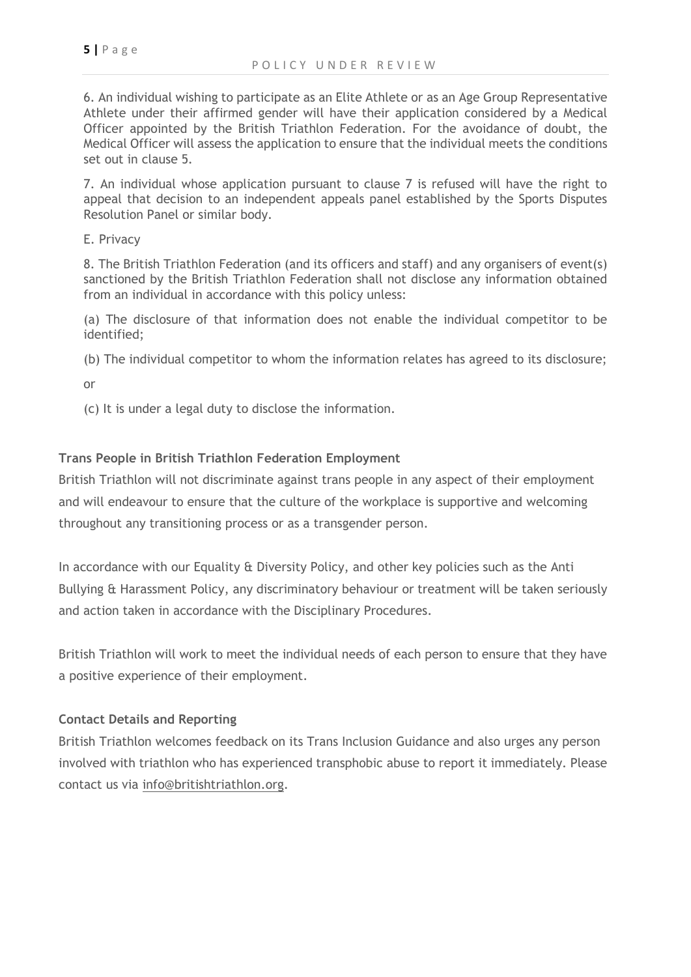6. An individual wishing to participate as an Elite Athlete or as an Age Group Representative Athlete under their affirmed gender will have their application considered by a Medical Officer appointed by the British Triathlon Federation. For the avoidance of doubt, the Medical Officer will assess the application to ensure that the individual meets the conditions set out in clause 5.

7. An individual whose application pursuant to clause 7 is refused will have the right to appeal that decision to an independent appeals panel established by the Sports Disputes Resolution Panel or similar body.

E. Privacy

8. The British Triathlon Federation (and its officers and staff) and any organisers of event(s) sanctioned by the British Triathlon Federation shall not disclose any information obtained from an individual in accordance with this policy unless:

(a) The disclosure of that information does not enable the individual competitor to be identified;

(b) The individual competitor to whom the information relates has agreed to its disclosure;

or

(c) It is under a legal duty to disclose the information.

## **Trans People in British Triathlon Federation Employment**

British Triathlon will not discriminate against trans people in any aspect of their employment and will endeavour to ensure that the culture of the workplace is supportive and welcoming throughout any transitioning process or as a transgender person.

In accordance with our Equality & Diversity Policy, and other key policies such as the Anti Bullying & Harassment Policy, any discriminatory behaviour or treatment will be taken seriously and action taken in accordance with the Disciplinary Procedures.

British Triathlon will work to meet the individual needs of each person to ensure that they have a positive experience of their employment.

### **Contact Details and Reporting**

British Triathlon welcomes feedback on its Trans Inclusion Guidance and also urges any person involved with triathlon who has experienced transphobic abuse to report it immediately. Please contact us via [info@britishtriathlon.org.](mailto:info@britishtriathlon.org)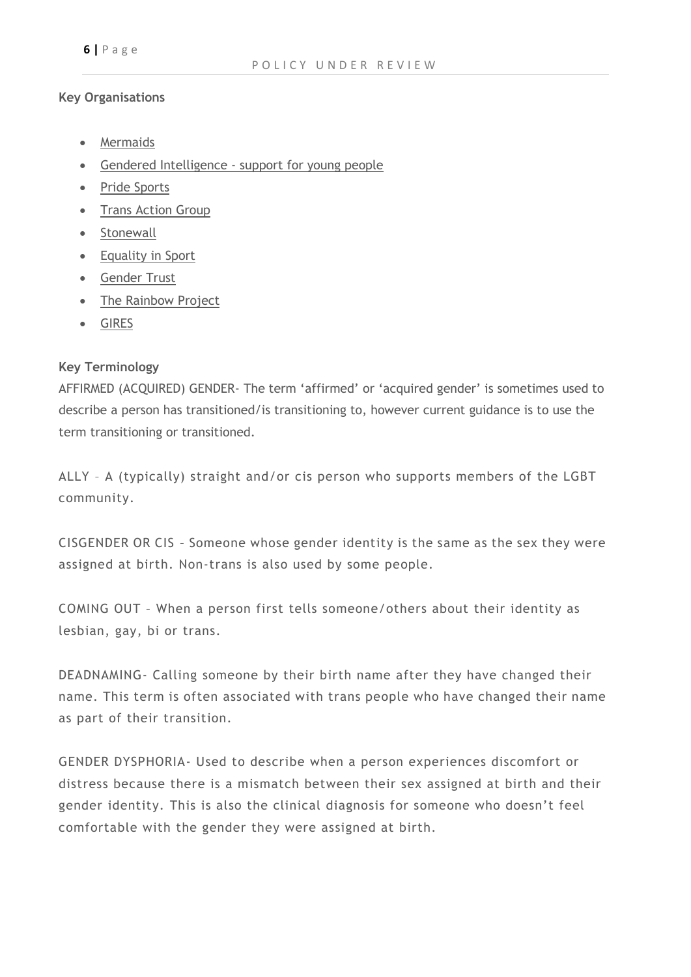#### **Key Organisations**

- [Mermaids](https://www.bing.com/search?q=mermaids+trans+support&form=PRDLCS&pc=MDDCJS&httpsmsn=1&refig=79650342ef2a4c8aa3bc9bfdf45734bb&pq=mermaids+tran&sc=5-13&sp=4&qs=DUP&sk=AS3)
- Gendered Intelligence [support for young people](http://genderedintelligence.co.uk/)
- [Pride Sports](https://www.bing.com/search?q=pride+sports&form=PRDLCS&pc=MDDCJS&httpsmsn=1&refig=ab26a644308349d9993579a432714a8a&pq=pride+sports&sc=4-12&sp=-1&qs=n&sk=)
- [Trans Action Group](https://www.bing.com/search?q=trans+action+group&form=PRDLCS&pc=MDDCJS&httpsmsn=1&refig=c90ffb9f12554b14b18e20530bc4cb8b&pq=trans+action+group&sc=0-13&sp=-1&qs=n&sk=)
- [Stonewall](https://www.bing.com/search?q=stonewall&form=PRDLCS&pc=MDDCJS&httpsmsn=1&refig=56cbd14412234668a7412ec596600709&pq=stonewall&sc=8-9&sp=-1&qs=n&sk=)
- [Equality in Sport](http://www.equalityinsport.org/)
- [Gender Trust](http://www.gendertrust.org.uk/)
- [The Rainbow Project](http://www.rainbow-project.org/)
- [GIRES](http://www.gires.org.uk/)

## **Key Terminology**

AFFIRMED (ACQUIRED) GENDER- The term 'affirmed' or 'acquired gender' is sometimes used to describe a person has transitioned/is transitioning to, however current guidance is to use the term transitioning or transitioned.

ALLY – A (typically) straight and/or cis person who supports members of the LGBT community.

CISGENDER OR CIS – Someone whose gender identity is the same as the sex they were assigned at birth. Non-trans is also used by some people.

COMING OUT – When a person first tells someone/others about their identity as lesbian, gay, bi or trans.

DEADNAMING- Calling someone by their birth name after they have changed their name. This term is often associated with trans people who have changed their name as part of their transition.

GENDER DYSPHORIA- Used to describe when a person experiences discomfort or distress because there is a mismatch between their sex assigned at birth and their gender identity. This is also the clinical diagnosis for someone who doesn't feel comfortable with the gender they were assigned at birth.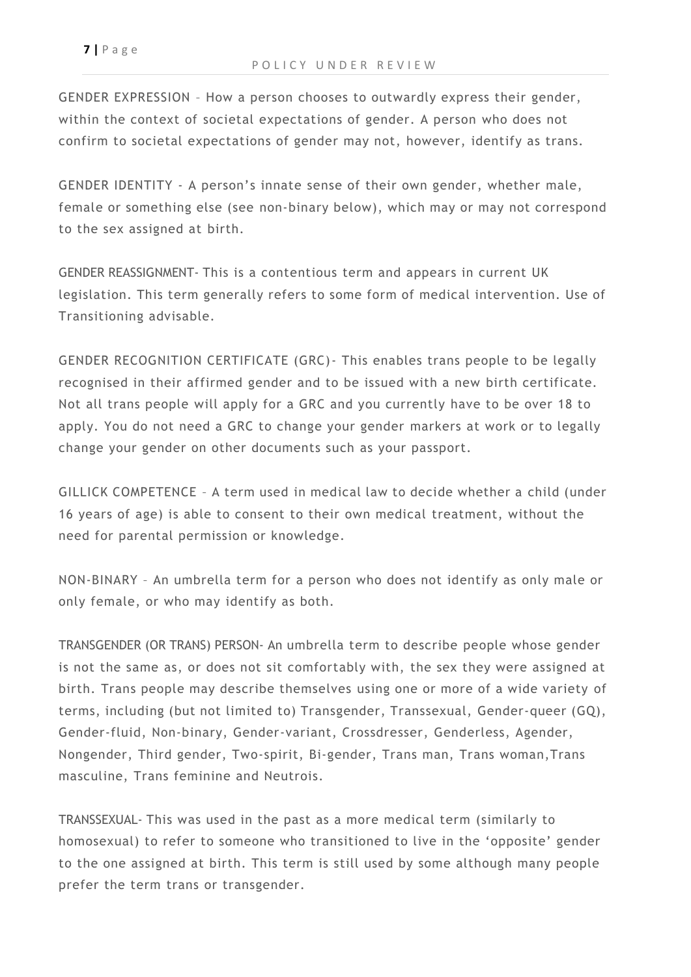**7 |** P a g e

GENDER EXPRESSION – How a person chooses to outwardly express their gender, within the context of societal expectations of gender. A person who does not confirm to societal expectations of gender may not, however, identify as trans.

GENDER IDENTITY - A person's innate sense of their own gender, whether male, female or something else (see non-binary below), which may or may not correspond to the sex assigned at birth.

GENDER REASSIGNMENT- This is a contentious term and appears in current UK legislation. This term generally refers to some form of medical intervention. Use of Transitioning advisable.

GENDER RECOGNITION CERTIFICATE (GRC)- This enables trans people to be legally recognised in their affirmed gender and to be issued with a new birth certificate. Not all trans people will apply for a GRC and you currently have to be over 18 to apply. You do not need a GRC to change your gender markers at work or to legally change your gender on other documents such as your passport.

GILLICK COMPETENCE – A term used in medical law to decide whether a child (under 16 years of age) is able to consent to their own medical treatment, without the need for parental permission or knowledge.

NON-BINARY – An umbrella term for a person who does not identify as only male or only female, or who may identify as both.

TRANSGENDER (OR TRANS) PERSON- An umbrella term to describe people whose gender is not the same as, or does not sit comfortably with, the sex they were assigned at birth. Trans people may describe themselves using one or more of a wide variety of terms, including (but not limited to) Transgender, Transsexual, Gender-queer (GQ), Gender-fluid, Non-binary, Gender-variant, Crossdresser, Genderless, Agender, Nongender, Third gender, Two-spirit, Bi-gender, Trans man, Trans woman,Trans masculine, Trans feminine and Neutrois.

TRANSSEXUAL- This was used in the past as a more medical term (similarly to homosexual) to refer to someone who transitioned to live in the 'opposite' gender to the one assigned at birth. This term is still used by some although many people prefer the term trans or transgender.